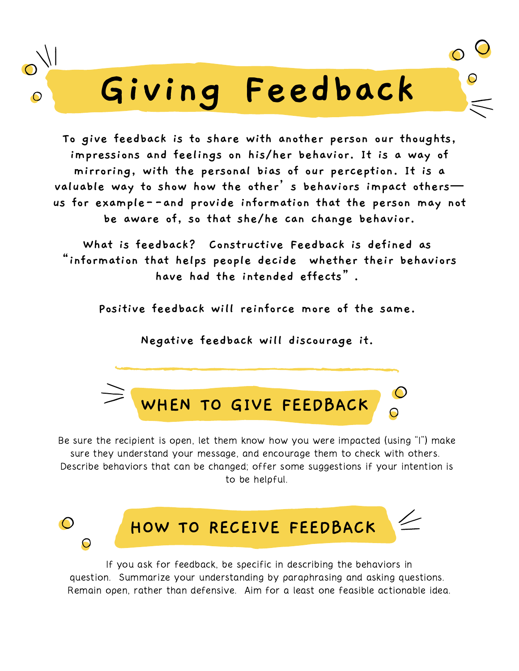# **Giving Feedback**

**To give feedback is to share with another person our thoughts, impressions and feelings on his/her behavior. It is a way of mirroring, with the personal bias of our perception. It is a valuable way to show how the other's behaviors impact others us for example--and provide information that the person may not be aware of, so that she/he can change behavior.**

**What is feedback? Constructive Feedback is defined as "information that helps people decide whether their behaviors have had the intended effects".**

**Positive feedback will reinforce more of the same.**

**Negative feedback will discourage it.**



Be sure the recipient is open, let them know how you were impacted (using "I") make sure they understand your message, and encourage them to check with others. Describe behaviors that can be changed; offer some suggestions if your intention is to be helpful.



If you ask for feedback, be specific in describing the behaviors in question. Summarize your understanding by paraphrasing and asking questions. Remain open, rather than defensive. Aim for a least one feasible actionable idea.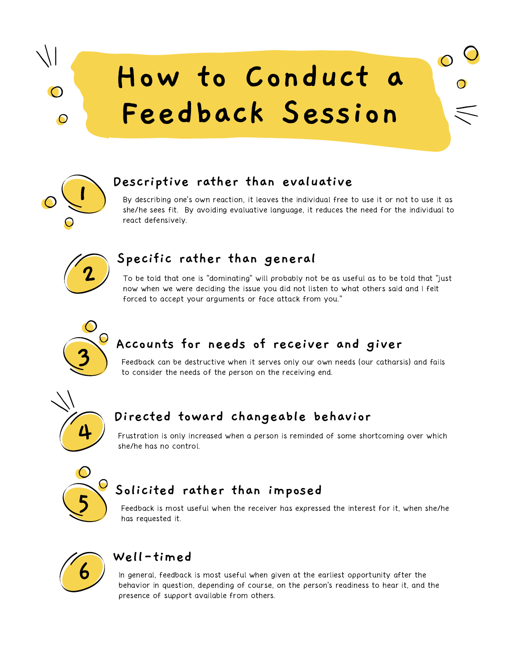## **How to Conduct a Feedback Session**



 $\cap$ 

 $\bigcirc$ 

## **Descriptive rather than evaluative**

By describing one's own reaction, it leaves the individual free to use it or not to use it as she/he sees fit. By avoiding evaluative language, it reduces the need for the individual to react defensively.

 $\bullet$ 



#### **Specific rather than general**

To be told that one is "dominating" will probably not be as useful as to be told that "just now when we were deciding the issue you did not listen to what others said and Ifelt forced to accept your arguments or face attack from you."



## **Accounts for needs of receiver and giver**

Feedback can be destructive when it serves only our own needs (our catharsis) and fails to consider the needs of the person on the receiving end.



### **Directed toward changeable behavior**

Frustration is only increased when a person is reminded of some shortcoming over which she/he has no control.



## **Solicited rather than imposed**

Feedback is most useful when the receiver has expressed the interest for it, when she/he has requested it.



#### **Well-timed**

In general, feedback is most useful when given at the earliest opportunity after the behavior in question, depending of course, on the person's readiness to hear it, and the presence of support available from others.